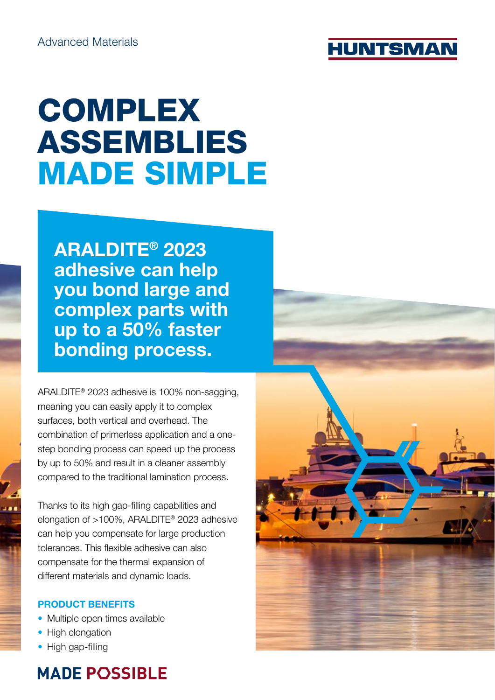

# **COMPLEX** ASSEMBLIES MADE SIMPLE

ARALDITE® 2023 adhesive can help you bond large and complex parts with up to a 50% faster bonding process.

ARALDITE® 2023 adhesive is 100% non-sagging, meaning you can easily apply it to complex surfaces, both vertical and overhead. The combination of primerless application and a onestep bonding process can speed up the process by up to 50% and result in a cleaner assembly compared to the traditional lamination process.

Thanks to its high gap-filling capabilities and elongation of >100%, ARALDITE® 2023 adhesive can help you compensate for large production tolerances. This flexible adhesive can also compensate for the thermal expansion of different materials and dynamic loads.

### PRODUCT BENEFITS

- Multiple open times available
- High elongation
- High gap-filling

### **MADE POSSIBLE**